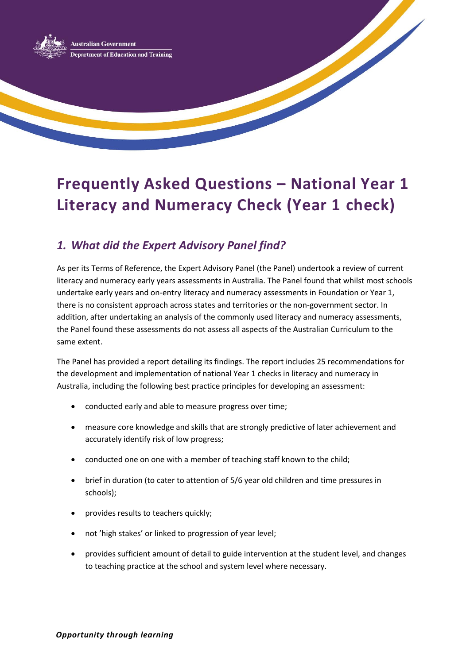

# **Frequently Asked Questions – National Year 1 Literacy and Numeracy Check (Year 1 check)**

## *1. What did the Expert Advisory Panel find?*

As per its Terms of Reference, the Expert Advisory Panel (the Panel) undertook a review of current literacy and numeracy early years assessments in Australia. The Panel found that whilst most schools undertake early years and on-entry literacy and numeracy assessments in Foundation or Year 1, there is no consistent approach across states and territories or the non-government sector. In addition, after undertaking an analysis of the commonly used literacy and numeracy assessments, the Panel found these assessments do not assess all aspects of the Australian Curriculum to the same extent.

The Panel has provided a report detailing its findings. The report includes 25 recommendations for the development and implementation of national Year 1 checks in literacy and numeracy in Australia, including the following best practice principles for developing an assessment:

- conducted early and able to measure progress over time;
- measure core knowledge and skills that are strongly predictive of later achievement and accurately identify risk of low progress;
- conducted one on one with a member of teaching staff known to the child;
- brief in duration (to cater to attention of 5/6 year old children and time pressures in schools);
- provides results to teachers quickly;
- not 'high stakes' or linked to progression of year level;
- provides sufficient amount of detail to guide intervention at the student level, and changes to teaching practice at the school and system level where necessary.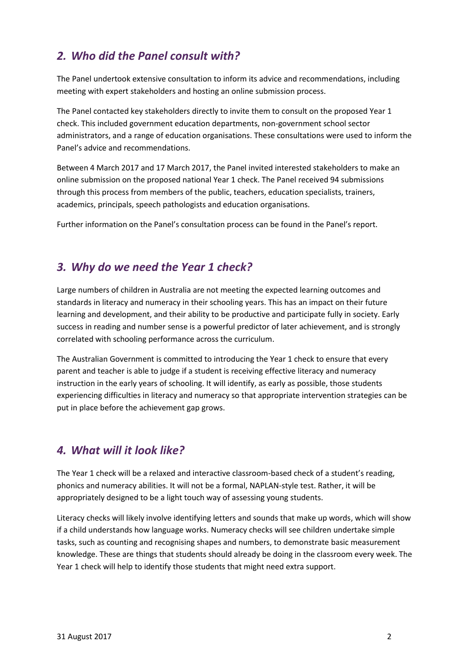## *2. Who did the Panel consult with?*

The Panel undertook extensive consultation to inform its advice and recommendations, including meeting with expert stakeholders and hosting an online submission process.

The Panel contacted key stakeholders directly to invite them to consult on the proposed Year 1 check. This included government education departments, non-government school sector administrators, and a range of education organisations. These consultations were used to inform the Panel's advice and recommendations.

Between 4 March 2017 and 17 March 2017, the Panel invited interested stakeholders to make an online submission on the proposed national Year 1 check. The Panel received 94 submissions through this process from members of the public, teachers, education specialists, trainers, academics, principals, speech pathologists and education organisations.

Further information on the Panel's consultation process can be found in the Panel's report.

#### *3. Why do we need the Year 1 check?*

Large numbers of children in Australia are not meeting the expected learning outcomes and standards in literacy and numeracy in their schooling years. This has an impact on their future learning and development, and their ability to be productive and participate fully in society. Early success in reading and number sense is a powerful predictor of later achievement, and is strongly correlated with schooling performance across the curriculum.

The Australian Government is committed to introducing the Year 1 check to ensure that every parent and teacher is able to judge if a student is receiving effective literacy and numeracy instruction in the early years of schooling. It will identify, as early as possible, those students experiencing difficulties in literacy and numeracy so that appropriate intervention strategies can be put in place before the achievement gap grows.

#### *4. What will it look like?*

The Year 1 check will be a relaxed and interactive classroom-based check of a student's reading, phonics and numeracy abilities. It will not be a formal, NAPLAN-style test. Rather, it will be appropriately designed to be a light touch way of assessing young students.

Literacy checks will likely involve identifying letters and sounds that make up words, which will show if a child understands how language works. Numeracy checks will see children undertake simple tasks, such as counting and recognising shapes and numbers, to demonstrate basic measurement knowledge. These are things that students should already be doing in the classroom every week. The Year 1 check will help to identify those students that might need extra support.